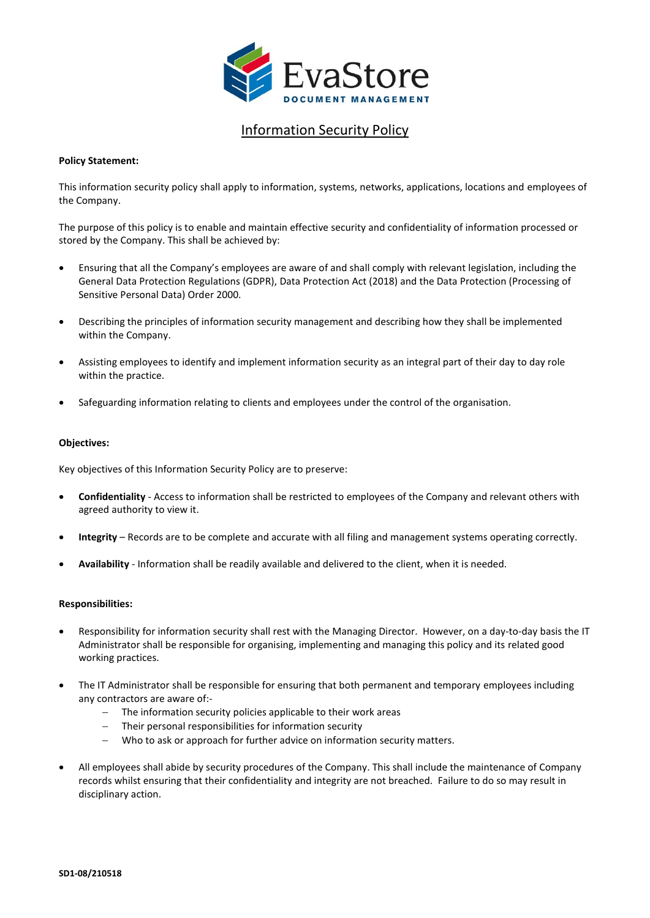

## Information Security Policy

## **Policy Statement:**

This information security policy shall apply to information, systems, networks, applications, locations and employees of the Company.

The purpose of this policy is to enable and maintain effective security and confidentiality of information processed or stored by the Company. This shall be achieved by:

- Ensuring that all the Company's employees are aware of and shall comply with relevant legislation, including the General Data Protection Regulations (GDPR), Data Protection Act (2018) and the Data Protection (Processing of Sensitive Personal Data) Order 2000.
- Describing the principles of information security management and describing how they shall be implemented within the Company.
- Assisting employees to identify and implement information security as an integral part of their day to day role within the practice.
- Safeguarding information relating to clients and employees under the control of the organisation.

## **Objectives:**

Key objectives of this Information Security Policy are to preserve:

- **Confidentiality** Access to information shall be restricted to employees of the Company and relevant others with agreed authority to view it.
- **Integrity** Records are to be complete and accurate with all filing and management systems operating correctly.
- **Availability**  Information shall be readily available and delivered to the client, when it is needed.

#### **Responsibilities:**

- Responsibility for information security shall rest with the Managing Director. However, on a day-to-day basis the IT Administrator shall be responsible for organising, implementing and managing this policy and its related good working practices.
- The IT Administrator shall be responsible for ensuring that both permanent and temporary employees including any contractors are aware of:-
	- − The information security policies applicable to their work areas
	- Their personal responsibilities for information security
	- Who to ask or approach for further advice on information security matters.
- All employees shall abide by security procedures of the Company. This shall include the maintenance of Company records whilst ensuring that their confidentiality and integrity are not breached. Failure to do so may result in disciplinary action.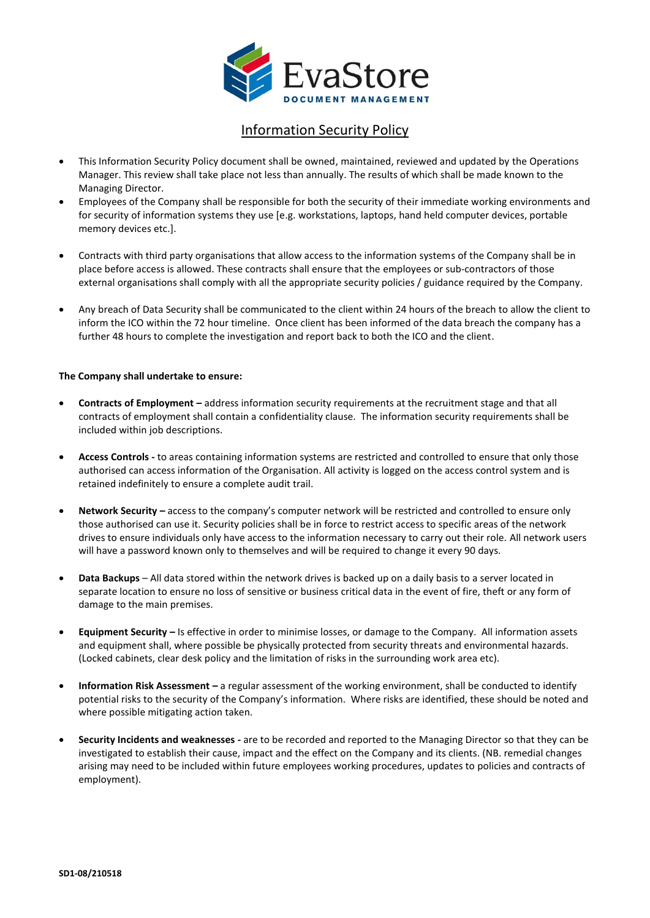

## Information Security Policy

- This Information Security Policy document shall be owned, maintained, reviewed and updated by the Operations Manager. This review shall take place not less than annually. The results of which shall be made known to the Managing Director.
- Employees of the Company shall be responsible for both the security of their immediate working environments and for security of information systems they use [e.g. workstations, laptops, hand held computer devices, portable memory devices etc.].
- Contracts with third party organisations that allow access to the information systems of the Company shall be in place before access is allowed. These contracts shall ensure that the employees or sub-contractors of those external organisations shall comply with all the appropriate security policies / guidance required by the Company.
- Any breach of Data Security shall be communicated to the client within 24 hours of the breach to allow the client to inform the ICO within the 72 hour timeline. Once client has been informed of the data breach the company has a further 48 hours to complete the investigation and report back to both the ICO and the client.

## **The Company shall undertake to ensure:**

- **Contracts of Employment –** address information security requirements at the recruitment stage and that all contracts of employment shall contain a confidentiality clause. The information security requirements shall be included within job descriptions.
- **Access Controls** to areas containing information systems are restricted and controlled to ensure that only those authorised can access information of the Organisation. All activity is logged on the access control system and is retained indefinitely to ensure a complete audit trail.
- **Network Security –** access to the company's computer network will be restricted and controlled to ensure only those authorised can use it. Security policies shall be in force to restrict access to specific areas of the network drives to ensure individuals only have access to the information necessary to carry out their role. All network users will have a password known only to themselves and will be required to change it every 90 days.
- **Data Backups** All data stored within the network drives is backed up on a daily basis to a server located in separate location to ensure no loss of sensitive or business critical data in the event of fire, theft or any form of damage to the main premises.
- **Equipment Security –** Is effective in order to minimise losses, or damage to the Company. All information assets and equipment shall, where possible be physically protected from security threats and environmental hazards. (Locked cabinets, clear desk policy and the limitation of risks in the surrounding work area etc).
- **Information Risk Assessment –** a regular assessment of the working environment, shall be conducted to identify potential risks to the security of the Company's information. Where risks are identified, these should be noted and where possible mitigating action taken.
- **Security Incidents and weaknesses** are to be recorded and reported to the Managing Director so that they can be investigated to establish their cause, impact and the effect on the Company and its clients. (NB. remedial changes arising may need to be included within future employees working procedures, updates to policies and contracts of employment).